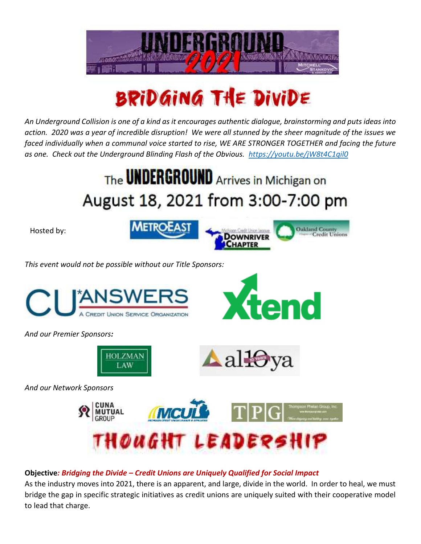

## BRIDGING THE DIVIDE

*An Underground Collision is one of a kind as it encourages authentic dialogue, brainstorming and puts ideas into action. 2020 was a year of incredible disruption! We were all stunned by the sheer magnitude of the issues we faced individually when a communal voice started to rise, WE ARE STRONGER TOGETHER and facing the future as one. Check out the Underground Blinding Flash of the Obvious. <https://youtu.be/jW8t4C1qil0>*

## The **UNDERGROUND** Arrives in Michigan on August 18, 2021 from 3:00-7:00 pm

Hosted by:



*This event would not be possible without our Title Sponsors:*





*And our Premier Sponsors:*





*And our Network Sponsors*



## **Objective***: Bridging the Divide – Credit Unions are Uniquely Qualified for Social Impact*

As the industry moves into 2021, there is an apparent, and large, divide in the world. In order to heal, we must bridge the gap in specific strategic initiatives as credit unions are uniquely suited with their cooperative model to lead that charge.